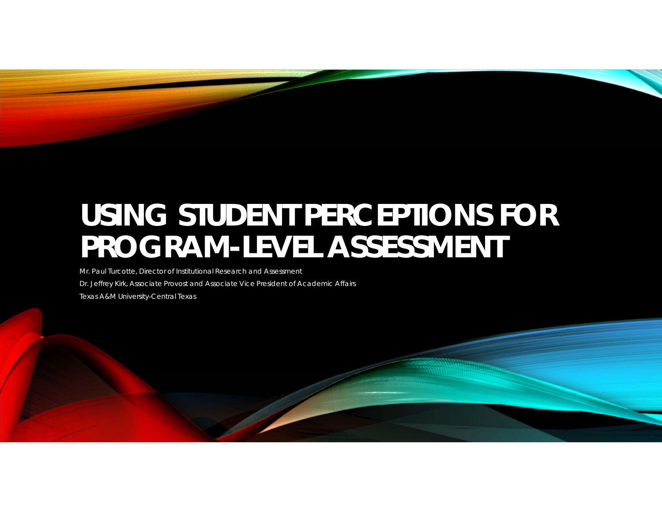# **USING STUDENT PERCEPTIONS FOR PROGRAM-LEVEL ASSESSMENT**

Mr. Paul Turcotte, Director of Institutional Research and Assessment

Dr. Jeffrey Kirk, Associate Provost and Associate Vice President of Academic Affairs

Texas A&M University-Central Texas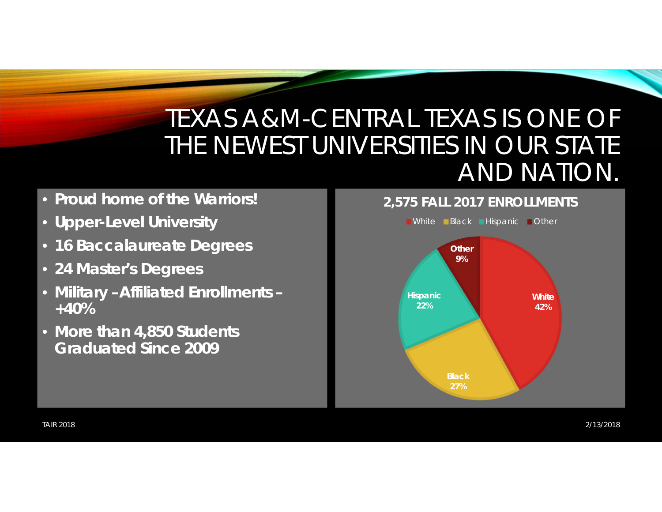## TEXAS A&M-CENTRAL TEXAS IS ONE OF THE NEWEST UNIVERSITIES IN OUR STATE AND NATION.

#### • **Proud home of the Warriors!**

- **Upper-Level University**
- **16 Baccalaureate Degrees**
- **24 Master's Degrees**
- **Military –Affiliated Enrollments – +40%**
- **More than 4,850 Students Graduated Since 2009**

#### **2,575 FALL 2017 ENROLLMENTS**

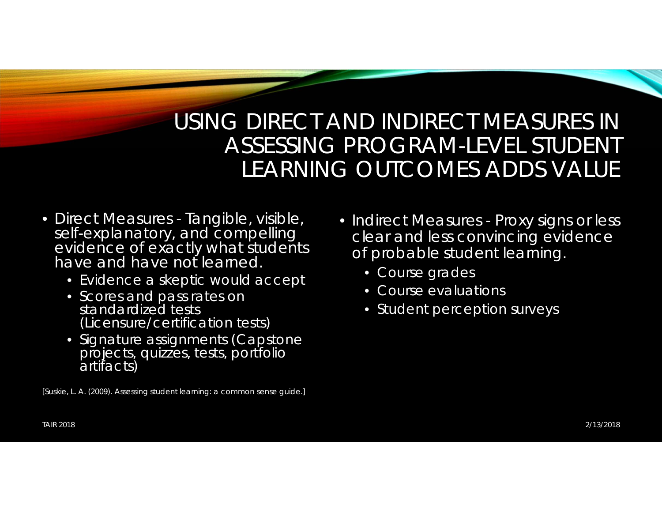#### USING DIRECT AND INDIRECT MEASURES IN ASSESSING PROGRAM-LEVEL STUDENT LEARNING OUTCOMES ADDS VALUE

- Direct Measures Tangible, visible, self-explanatory, and compelling evidence of exactly what students have and have not learned.
	- Evidence a skeptic would accept
	- Scores and pass rates on standardized tests (Licensure/certification tests)
	- Signature assignments (Capstone projects, quizzes, tests, portfolio<br>artifacts)
- [Suskie, L. A. (2009). *Assessing student learning: a common sense guide*.]
- Indirect Measures Proxy signs or less clear and less convincing evidence of probable student learning.
	- Course grades
	- Course evaluations
	- Student perception surveys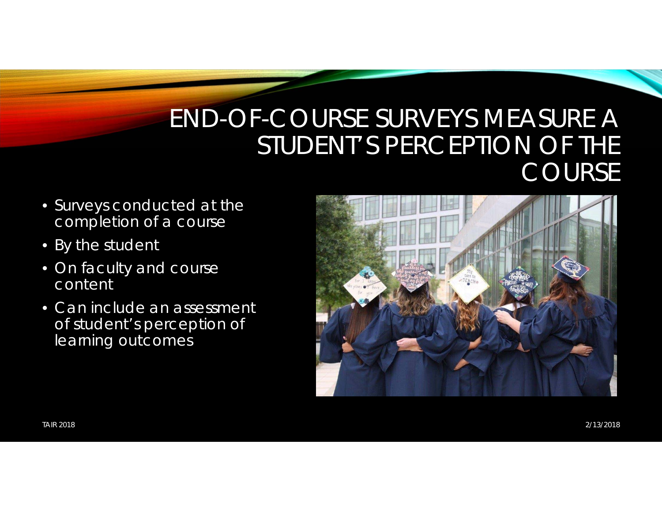#### END-OF-COURSE SURVEYS MEASURE A STUDENT'S PERCEPTION OF THE COURSE

- Surveys conducted at the completion of a course
- By the student
- On faculty and course content
- Can include an assessment of student's perception of learning outcomes

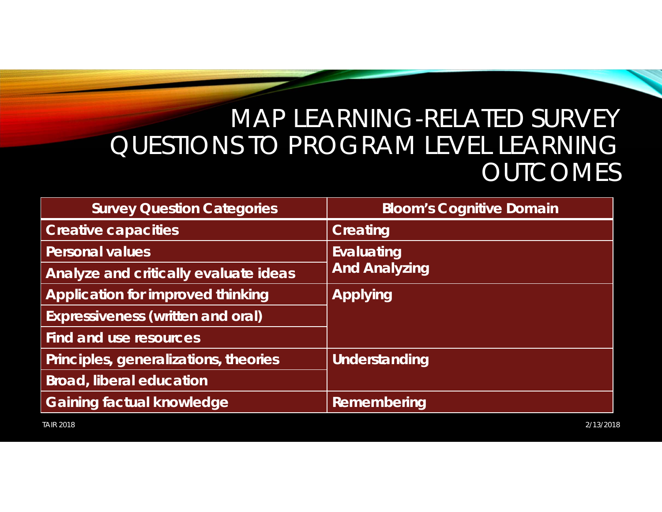### MAP LEARNING-RELATED SURVEY QUESTIONS TO PROGRAM LEVEL LEARNING **OUTCOMES**

| <b>Survey Question Categories</b>        | <b>Bloom's Cognitive Domain</b>           |
|------------------------------------------|-------------------------------------------|
| <b>Creative capacities</b>               | <b>Creating</b>                           |
| <b>Personal values</b>                   | <b>Evaluating</b><br><b>And Analyzing</b> |
| Analyze and critically evaluate ideas    |                                           |
| <b>Application for improved thinking</b> | <b>Applying</b>                           |
| <b>Expressiveness (written and oral)</b> |                                           |
| Find and use resources                   |                                           |
| Principles, generalizations, theories    | Understanding                             |
| <b>Broad, liberal education</b>          |                                           |
| <b>Gaining factual knowledge</b>         | Remembering                               |

TAIR 2018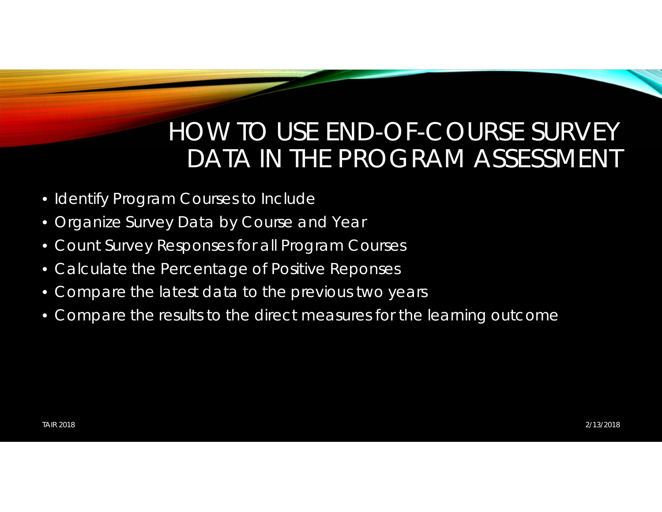### HOW TO USE END-OF-COURSE SURVEY DATA IN THE PROGRAM ASSESSMENT

- Identify Program Courses to Include
- Organize Survey Data by Course and Year
- Count Survey Responses for all Program Courses
- Calculate the Percentage of Positive Reponses
- Compare the latest data to the previous two years
- Compare the results to the direct measures for the learning outcome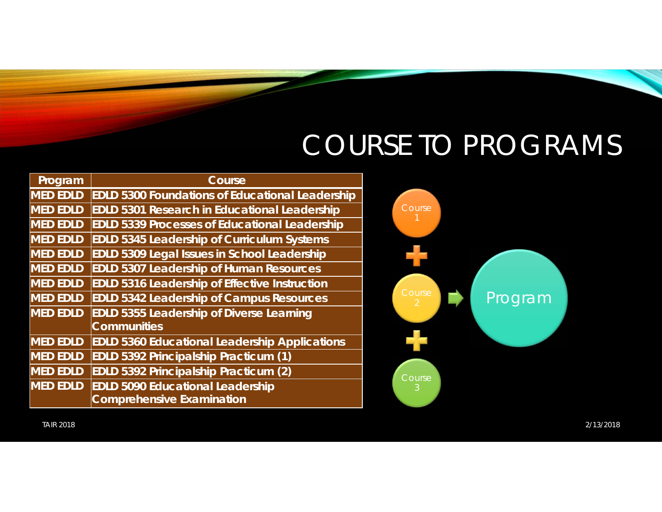## COURSE TO PROGRAMS

| Program         | Course                                                 |
|-----------------|--------------------------------------------------------|
| <b>MED EDLD</b> | <b>EDLD 5300 Foundations of Educational Leadership</b> |
| <b>MED EDLD</b> | <b>EDLD 5301 Research in Educational Leadership</b>    |
| <b>MED EDLD</b> | <b>EDLD 5339 Processes of Educational Leadership</b>   |
| <b>MED EDLD</b> | <b>EDLD 5345 Leadership of Curriculum Systems</b>      |
| <b>MED EDLD</b> | <b>EDLD 5309 Legal Issues in School Leadership</b>     |
| <b>MED EDLD</b> | <b>EDLD 5307 Leadership of Human Resources</b>         |
| <b>MED EDLD</b> | <b>EDLD 5316 Leadership of Effective Instruction</b>   |
| <b>MED EDLD</b> | <b>EDLD 5342 Leadership of Campus Resources</b>        |
| <b>MED EDLD</b> | <b>EDLD 5355 Leadership of Diverse Learning</b>        |
|                 | <b>Communities</b>                                     |
| <b>MED EDLD</b> | <b>EDLD 5360 Educational Leadership Applications</b>   |
| <b>MED EDLD</b> | <b>EDLD 5392 Principalship Practicum (1)</b>           |
| <b>MED EDLD</b> | <b>EDLD 5392 Principalship Practicum (2)</b>           |
| <b>MED EDLD</b> | <b>EDLD 5090 Educational Leadership</b>                |
|                 | <b>Comprehensive Examination</b>                       |



TAIR 2018

 2/13/20182/13/2018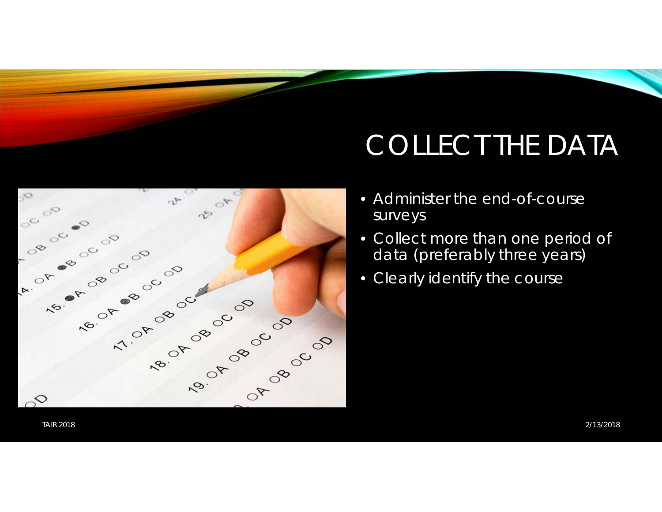# COLLECT THE DATA

- Administer the end-of-course surveys
- Collect more than one period of data (preferably three years)
- Clearly identify the course



TAIR 2018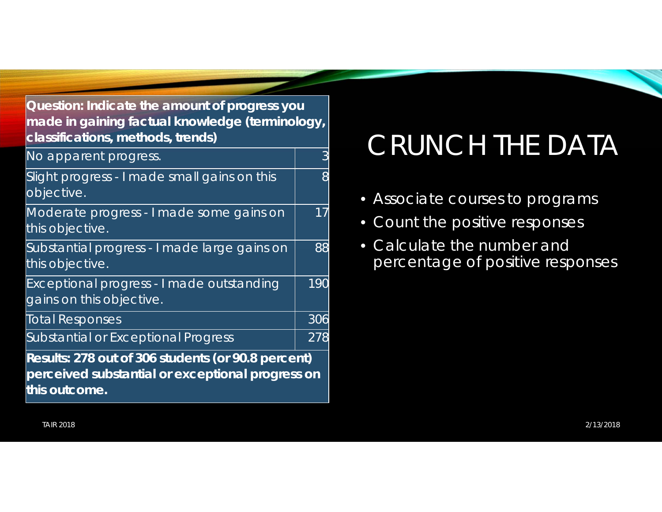**Question: Indicate the amount of progress you made in gaining factual knowledge (terminology, classifications, methods, trends)**

No apparent progress. The state of the state of the state of the state of the state of the state of the state o Slight progress - I made small gains on this objective. 8Moderate progress - I made some gains on this objective. 17Substantial progress - I made large gains on this objective. 88Exceptional progress - I made outstanding gains on this objective. 190Total Responses 306 Substantial or Exceptional Progress 278 **Results: 278 out of 306 students (or 90.8 percent) perceived substantial or exceptional progress on this outcome.**

## CRUNCH THE DATA

- Associate courses to programs
- Count the positive responses
- Calculate the number and percentage of positive responses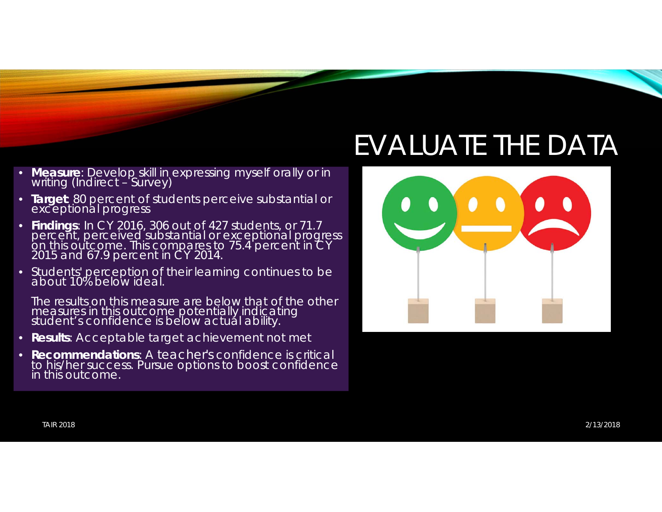## EVALUATE THE DATA



- •**Measure**: Develop skill in expressing myself orally or in writing (Indirect - Survey)
- **Target**: 80 percent of students perceive substantial or exceptional progress
- **Findings**: In CY 2016, 306 out of 427 students, or 71.7 percent, perceived substantial or exceptional progress on this outcome. This compares to 75.4 percent in CY 2015 and 67.9 percent in CY 2014.
- •Students' perception of their learning continues to be about 10% below ideal.

The results on this measure are below that of the other measures in this outcome potentially indicating student's confidence is below actual ability.

- **Results**: Acceptable target achievement not met
- $\bullet$  **Recommendations**: A teacher's confidence is critical to his/her success. Pursue options to boost confidence in this outcome.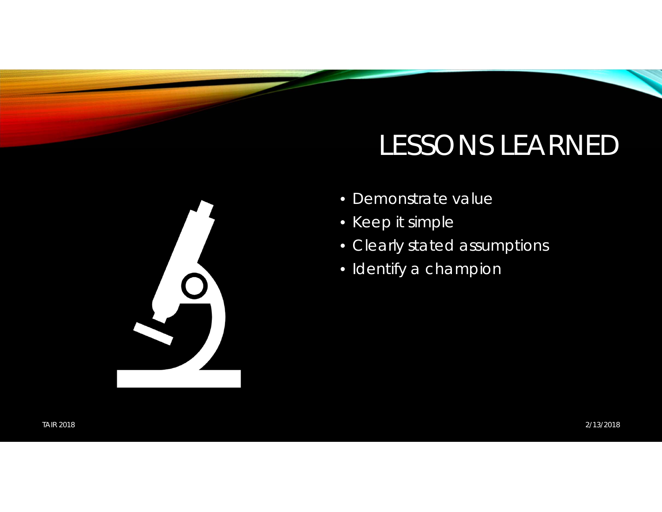## LESSONS LEARNED

- Demonstrate value
- Keep it simple
- Clearly stated assumptions
- Identify a champion